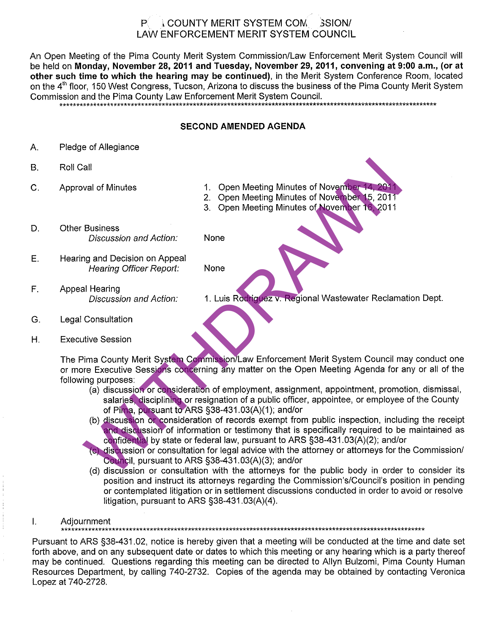#### **LCOUNTY MERIT SYSTEM COM. SSION/**  $P_{\perp}$ **LAW ENFORCEMENT MERIT SYSTEM COUNCIL**

An Open Meeting of the Pima County Merit System Commission/Law Enforcement Merit System Council will be held on Monday, November 28, 2011 and Tuesday, November 29, 2011, convening at 9:00 a.m., (or at other such time to which the hearing may be continued), in the Merit System Conference Room, located on the 4<sup>th</sup> floor, 150 West Congress, Tucson, Arizona to discuss the business of the Pima County Merit System Commission and the Pima County Law Enforcement Merit System Council.

## **SECOND AMENDED AGENDA**

- Α. Pledge of Allegiance
- $B.$
- $C<sub>1</sub>$
- 
- 
- 
- D.
	-
- E.
- F.

- G.
- Η.

Val of Minutes<br>
2. Open Meeting Minutes of November 14, 2011<br>
2. Open Meeting Minutes of November 15, 2011<br>
3. Open Meeting Minutes of November 15, 2011<br>
Business<br>
Discussion and Action:<br>
Mone<br>
11 Hearing Officer Report:<br>

- 
- 
- 
- or contemplated litigation or in settlement discussions conducted in order to avoid or resolve litigation, pursuant to ARS §38-431.03(A)(4).
- Ī. Adjournment

Pursuant to ARS §38-431.02, notice is hereby given that a meeting will be conducted at the time and date set forth above, and on any subsequent date or dates to which this meeting or any hearing which is a party thereof may be continued. Questions regarding this meeting can be directed to Allyn Bulzomi, Pima County Human Resources Department, by calling 740-2732. Copies of the agenda may be obtained by contacting Veronica Lopez at 740-2728.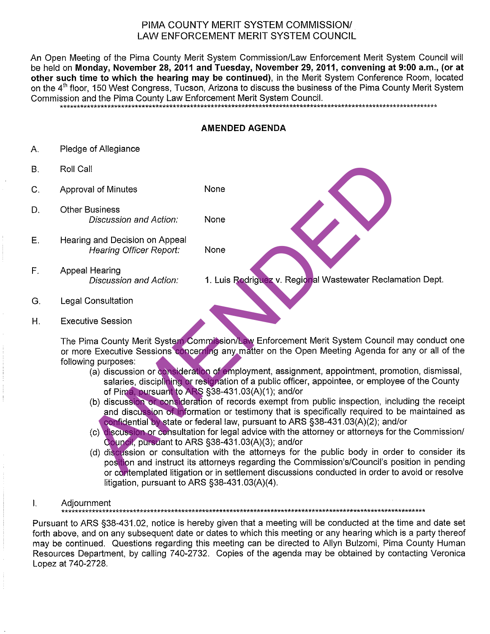# PIMA COUNTY MERIT SYSTEM COMMISSION/ LAW ENFORCEMENT MERIT SYSTEM COUNCIL

An Open Meeting of the Pima County Merit System Commission/Law Enforcement Merit System Council will be held on Monday, November 28, 2011 and Tuesday, November 29, 2011, convening at 9:00 a.m., (or at other such time to which the hearing may be continued), in the Merit System Conference Room, located on the 4<sup>th</sup> floor, 150 West Congress, Tucson, Arizona to discuss the business of the Pima County Merit System Commission and the Pima County Law Enforcement Merit System Council.

## **AMENDED AGENDA**

- Pledge of Allegiance Α.
- Β.
- C.
- D.
- E.
- $F_{\perp}$

- G.
- Η.

all<br>
all<br>
all of Minutes<br>
Discussion and Action:<br>
None<br>
may and Decision and Action:<br>
None<br>
all Hearing Officer Report:<br>
None<br>
all Hearing Officer Report:<br>
None<br>
all Hearing Officer Report:<br>
None<br>
all Hearing Officer Repor

- 
- 
- 
- litigation, pursuant to ARS  $\S$ 38-431.03(A)(4).
- $\mathbf{l}$ . Adjournment

Pursuant to ARS §38-431.02, notice is hereby given that a meeting will be conducted at the time and date set forth above, and on any subsequent date or dates to which this meeting or any hearing which is a party thereof may be continued. Questions regarding this meeting can be directed to Allyn Bulzomi, Pima County Human Resources Department, by calling 740-2732. Copies of the agenda may be obtained by contacting Veronica Lopez at 740-2728.